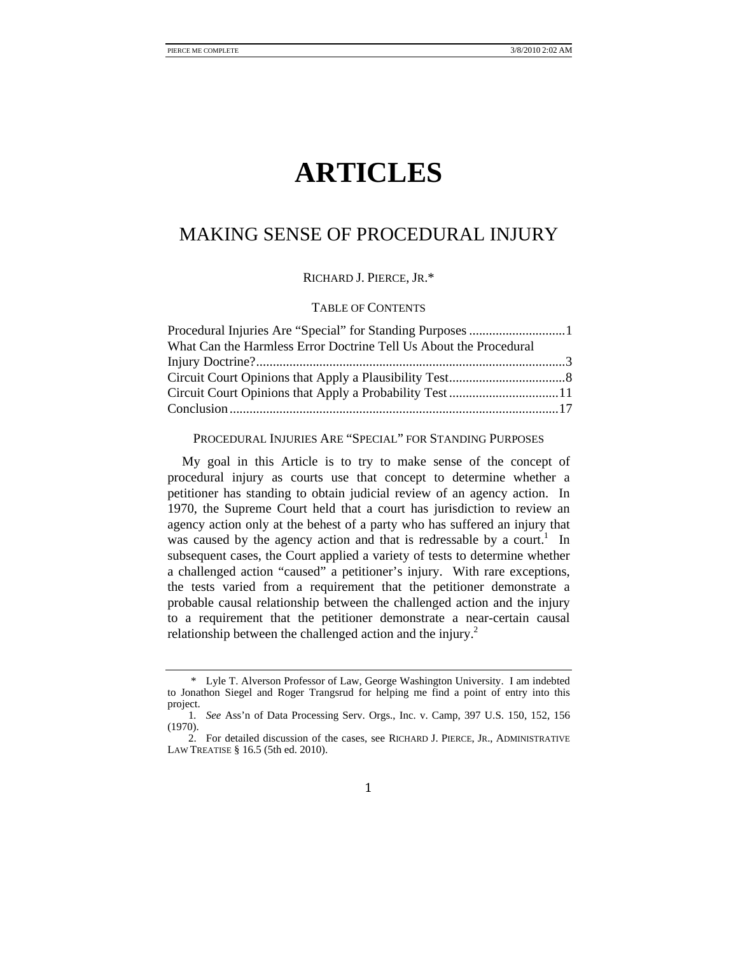# **ARTICLES**

# MAKING SENSE OF PROCEDURAL INJURY

RICHARD J. PIERCE, JR.\*

# TABLE OF CONTENTS

| What Can the Harmless Error Doctrine Tell Us About the Procedural |  |
|-------------------------------------------------------------------|--|
|                                                                   |  |
|                                                                   |  |
|                                                                   |  |
|                                                                   |  |

#### PROCEDURAL INJURIES ARE "SPECIAL" FOR STANDING PURPOSES

My goal in this Article is to try to make sense of the concept of procedural injury as courts use that concept to determine whether a petitioner has standing to obtain judicial review of an agency action. In 1970, the Supreme Court held that a court has jurisdiction to review an agency action only at the behest of a party who has suffered an injury that was caused by the agency action and that is redressable by a court.<sup>1</sup> In subsequent cases, the Court applied a variety of tests to determine whether a challenged action "caused" a petitioner's injury. With rare exceptions, the tests varied from a requirement that the petitioner demonstrate a probable causal relationship between the challenged action and the injury to a requirement that the petitioner demonstrate a near-certain causal relationship between the challenged action and the injury.<sup>2</sup>

 <sup>\*</sup> Lyle T. Alverson Professor of Law, George Washington University. I am indebted to Jonathon Siegel and Roger Trangsrud for helping me find a point of entry into this project.

<sup>1</sup>*. See* Ass'n of Data Processing Serv. Orgs., Inc. v. Camp, 397 U.S. 150, 152, 156 (1970).

 <sup>2.</sup> For detailed discussion of the cases, see RICHARD J. PIERCE, JR., ADMINISTRATIVE LAW TREATISE § 16.5 (5th ed. 2010).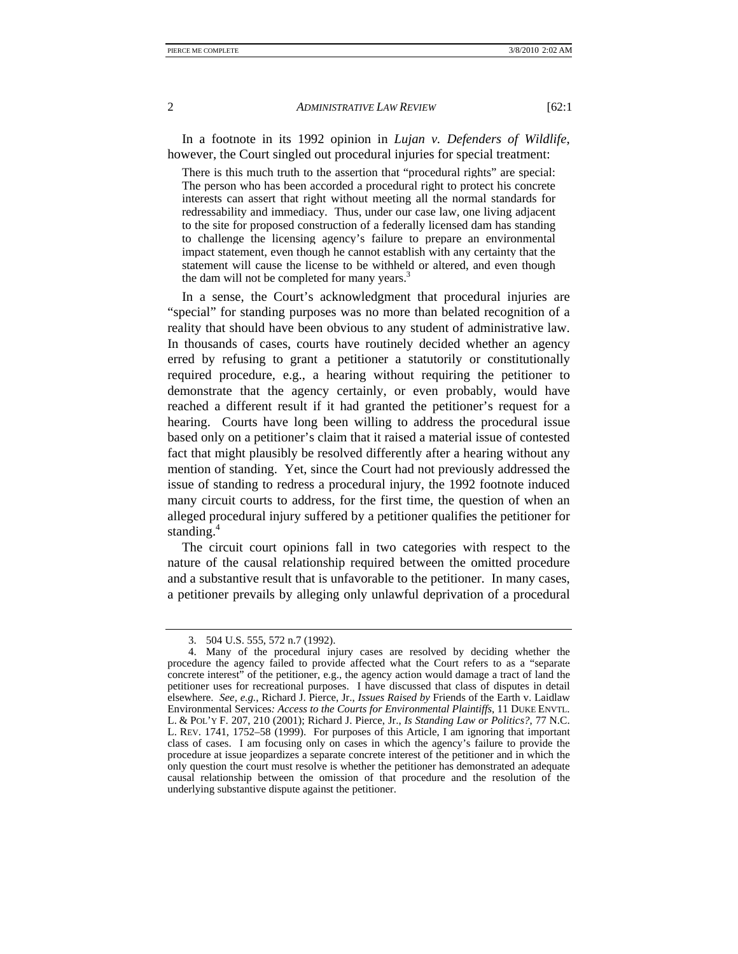In a footnote in its 1992 opinion in *Lujan v. Defenders of Wildlife*, however, the Court singled out procedural injuries for special treatment:

There is this much truth to the assertion that "procedural rights" are special: The person who has been accorded a procedural right to protect his concrete interests can assert that right without meeting all the normal standards for redressability and immediacy. Thus, under our case law, one living adjacent to the site for proposed construction of a federally licensed dam has standing to challenge the licensing agency's failure to prepare an environmental impact statement, even though he cannot establish with any certainty that the statement will cause the license to be withheld or altered, and even though the dam will not be completed for many years.<sup>3</sup>

In a sense, the Court's acknowledgment that procedural injuries are "special" for standing purposes was no more than belated recognition of a reality that should have been obvious to any student of administrative law. In thousands of cases, courts have routinely decided whether an agency erred by refusing to grant a petitioner a statutorily or constitutionally required procedure, e.g., a hearing without requiring the petitioner to demonstrate that the agency certainly, or even probably, would have reached a different result if it had granted the petitioner's request for a hearing. Courts have long been willing to address the procedural issue based only on a petitioner's claim that it raised a material issue of contested fact that might plausibly be resolved differently after a hearing without any mention of standing. Yet, since the Court had not previously addressed the issue of standing to redress a procedural injury, the 1992 footnote induced many circuit courts to address, for the first time, the question of when an alleged procedural injury suffered by a petitioner qualifies the petitioner for standing.<sup>4</sup>

The circuit court opinions fall in two categories with respect to the nature of the causal relationship required between the omitted procedure and a substantive result that is unfavorable to the petitioner. In many cases, a petitioner prevails by alleging only unlawful deprivation of a procedural

 <sup>3. 504</sup> U.S. 555, 572 n.7 (1992).

 <sup>4.</sup> Many of the procedural injury cases are resolved by deciding whether the procedure the agency failed to provide affected what the Court refers to as a "separate concrete interest" of the petitioner, e.g., the agency action would damage a tract of land the petitioner uses for recreational purposes. I have discussed that class of disputes in detail elsewhere. *See, e.g.*, Richard J. Pierce, Jr., *Issues Raised by* Friends of the Earth v. Laidlaw Environmental Services*: Access to the Courts for Environmental Plaintiffs*, 11 DUKE ENVTL. L. & POL'Y F. 207, 210 (2001); Richard J. Pierce, Jr., *Is Standing Law or Politics?*, 77 N.C. L. REV. 1741, 1752–58 (1999). For purposes of this Article, I am ignoring that important class of cases. I am focusing only on cases in which the agency's failure to provide the procedure at issue jeopardizes a separate concrete interest of the petitioner and in which the only question the court must resolve is whether the petitioner has demonstrated an adequate causal relationship between the omission of that procedure and the resolution of the underlying substantive dispute against the petitioner.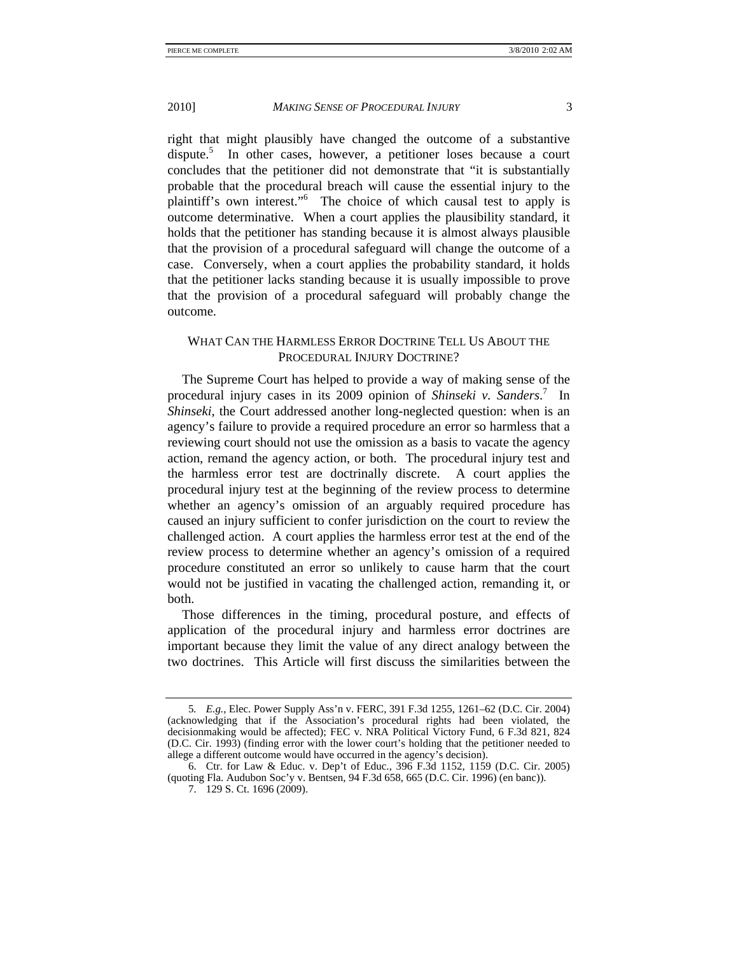right that might plausibly have changed the outcome of a substantive dispute.<sup>5</sup> In other cases, however, a petitioner loses because a court concludes that the petitioner did not demonstrate that "it is substantially probable that the procedural breach will cause the essential injury to the plaintiff's own interest."<sup>6</sup> The choice of which causal test to apply is outcome determinative. When a court applies the plausibility standard, it holds that the petitioner has standing because it is almost always plausible that the provision of a procedural safeguard will change the outcome of a case. Conversely, when a court applies the probability standard, it holds that the petitioner lacks standing because it is usually impossible to prove that the provision of a procedural safeguard will probably change the outcome.

# WHAT CAN THE HARMLESS ERROR DOCTRINE TELL US ABOUT THE PROCEDURAL INJURY DOCTRINE?

The Supreme Court has helped to provide a way of making sense of the procedural injury cases in its 2009 opinion of *Shinseki v. Sanders*. 7 In *Shinseki*, the Court addressed another long-neglected question: when is an agency's failure to provide a required procedure an error so harmless that a reviewing court should not use the omission as a basis to vacate the agency action, remand the agency action, or both. The procedural injury test and the harmless error test are doctrinally discrete. A court applies the procedural injury test at the beginning of the review process to determine whether an agency's omission of an arguably required procedure has caused an injury sufficient to confer jurisdiction on the court to review the challenged action. A court applies the harmless error test at the end of the review process to determine whether an agency's omission of a required procedure constituted an error so unlikely to cause harm that the court would not be justified in vacating the challenged action, remanding it, or both.

Those differences in the timing, procedural posture, and effects of application of the procedural injury and harmless error doctrines are important because they limit the value of any direct analogy between the two doctrines. This Article will first discuss the similarities between the

<sup>5</sup>*. E.g.*, Elec. Power Supply Ass'n v. FERC, 391 F.3d 1255, 1261–62 (D.C. Cir. 2004) (acknowledging that if the Association's procedural rights had been violated, the decisionmaking would be affected); FEC v. NRA Political Victory Fund, 6 F.3d 821, 824 (D.C. Cir. 1993) (finding error with the lower court's holding that the petitioner needed to allege a different outcome would have occurred in the agency's decision).

 <sup>6.</sup> Ctr. for Law & Educ. v. Dep't of Educ., 396 F.3d 1152, 1159 (D.C. Cir. 2005) (quoting Fla. Audubon Soc'y v. Bentsen, 94 F.3d 658, 665 (D.C. Cir. 1996) (en banc)).

 <sup>7. 129</sup> S. Ct. 1696 (2009).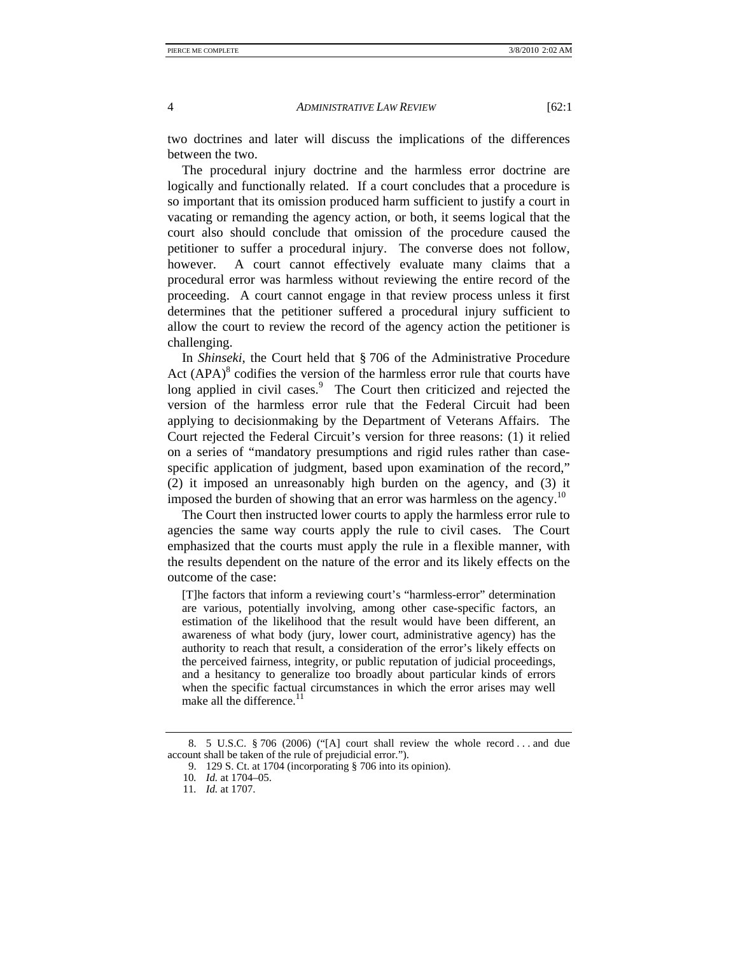two doctrines and later will discuss the implications of the differences between the two.

The procedural injury doctrine and the harmless error doctrine are logically and functionally related. If a court concludes that a procedure is so important that its omission produced harm sufficient to justify a court in vacating or remanding the agency action, or both, it seems logical that the court also should conclude that omission of the procedure caused the petitioner to suffer a procedural injury. The converse does not follow, however. A court cannot effectively evaluate many claims that a procedural error was harmless without reviewing the entire record of the proceeding. A court cannot engage in that review process unless it first determines that the petitioner suffered a procedural injury sufficient to allow the court to review the record of the agency action the petitioner is challenging.

In *Shinseki*, the Court held that § 706 of the Administrative Procedure Act  $(APA)^8$  codifies the version of the harmless error rule that courts have long applied in civil cases.<sup>9</sup> The Court then criticized and rejected the version of the harmless error rule that the Federal Circuit had been applying to decisionmaking by the Department of Veterans Affairs. The Court rejected the Federal Circuit's version for three reasons: (1) it relied on a series of "mandatory presumptions and rigid rules rather than casespecific application of judgment, based upon examination of the record," (2) it imposed an unreasonably high burden on the agency, and (3) it imposed the burden of showing that an error was harmless on the agency.<sup>10</sup>

The Court then instructed lower courts to apply the harmless error rule to agencies the same way courts apply the rule to civil cases. The Court emphasized that the courts must apply the rule in a flexible manner, with the results dependent on the nature of the error and its likely effects on the outcome of the case:

[T]he factors that inform a reviewing court's "harmless-error" determination are various, potentially involving, among other case-specific factors, an estimation of the likelihood that the result would have been different, an awareness of what body (jury, lower court, administrative agency) has the authority to reach that result, a consideration of the error's likely effects on the perceived fairness, integrity, or public reputation of judicial proceedings, and a hesitancy to generalize too broadly about particular kinds of errors when the specific factual circumstances in which the error arises may well make all the difference.<sup>11</sup>

 <sup>8. 5</sup> U.S.C. § 706 (2006) ("[A] court shall review the whole record . . . and due account shall be taken of the rule of prejudicial error.").

 <sup>9. 129</sup> S. Ct. at 1704 (incorporating § 706 into its opinion).

<sup>10</sup>*. Id.* at 1704–05.

<sup>11</sup>*. Id.* at 1707.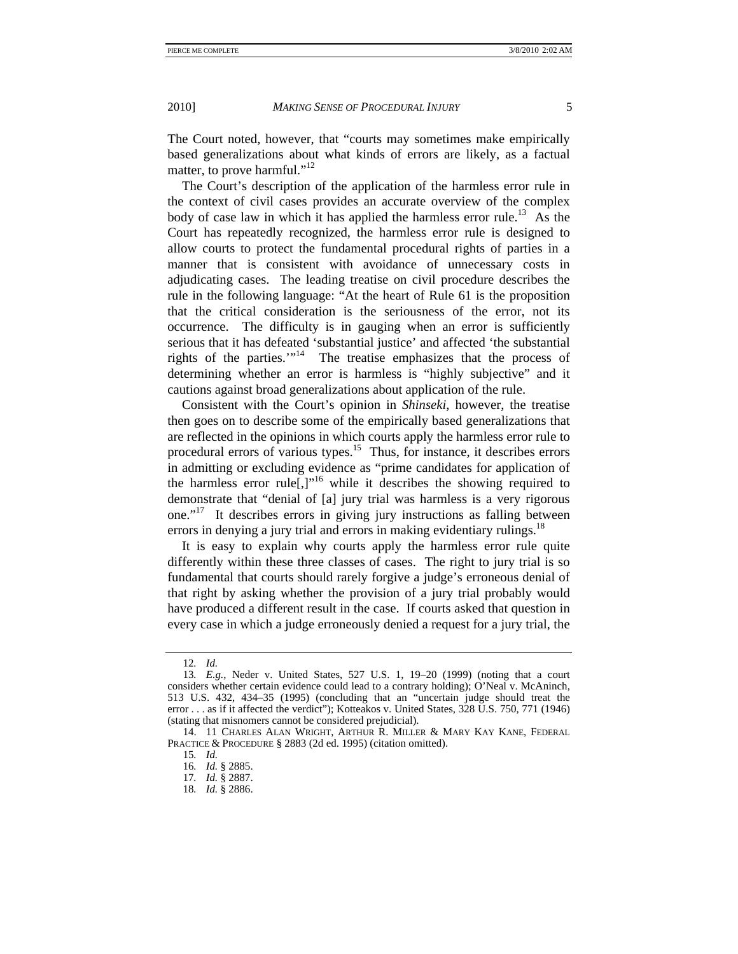The Court noted, however, that "courts may sometimes make empirically based generalizations about what kinds of errors are likely, as a factual matter, to prove harmful."<sup>12</sup>

The Court's description of the application of the harmless error rule in the context of civil cases provides an accurate overview of the complex body of case law in which it has applied the harmless error rule.<sup>13</sup> As the Court has repeatedly recognized, the harmless error rule is designed to allow courts to protect the fundamental procedural rights of parties in a manner that is consistent with avoidance of unnecessary costs in adjudicating cases. The leading treatise on civil procedure describes the rule in the following language: "At the heart of Rule 61 is the proposition that the critical consideration is the seriousness of the error, not its occurrence. The difficulty is in gauging when an error is sufficiently serious that it has defeated 'substantial justice' and affected 'the substantial rights of the parties. $1^{14}$  The treatise emphasizes that the process of determining whether an error is harmless is "highly subjective" and it cautions against broad generalizations about application of the rule.

Consistent with the Court's opinion in *Shinseki*, however, the treatise then goes on to describe some of the empirically based generalizations that are reflected in the opinions in which courts apply the harmless error rule to procedural errors of various types.15 Thus, for instance, it describes errors in admitting or excluding evidence as "prime candidates for application of the harmless error rule<sup>[1]</sup>,<sup>16</sup> while it describes the showing required to demonstrate that "denial of [a] jury trial was harmless is a very rigorous one."17 It describes errors in giving jury instructions as falling between errors in denying a jury trial and errors in making evidentiary rulings.<sup>18</sup>

It is easy to explain why courts apply the harmless error rule quite differently within these three classes of cases. The right to jury trial is so fundamental that courts should rarely forgive a judge's erroneous denial of that right by asking whether the provision of a jury trial probably would have produced a different result in the case. If courts asked that question in every case in which a judge erroneously denied a request for a jury trial, the

<sup>12</sup>*. Id.*

<sup>13</sup>*. E.g.*, Neder v. United States, 527 U.S. 1, 19–20 (1999) (noting that a court considers whether certain evidence could lead to a contrary holding); O'Neal v. McAninch, 513 U.S. 432, 434–35 (1995) (concluding that an "uncertain judge should treat the error . . . as if it affected the verdict"); Kotteakos v. United States, 328 U.S. 750, 771 (1946) (stating that misnomers cannot be considered prejudicial).

 <sup>14. 11</sup> CHARLES ALAN WRIGHT, ARTHUR R. MILLER & MARY KAY KANE, FEDERAL PRACTICE & PROCEDURE § 2883 (2d ed. 1995) (citation omitted).

<sup>15</sup>*. Id.*

<sup>16</sup>*. Id.* § 2885.

<sup>17</sup>*. Id.* § 2887.

<sup>18</sup>*. Id.* § 2886.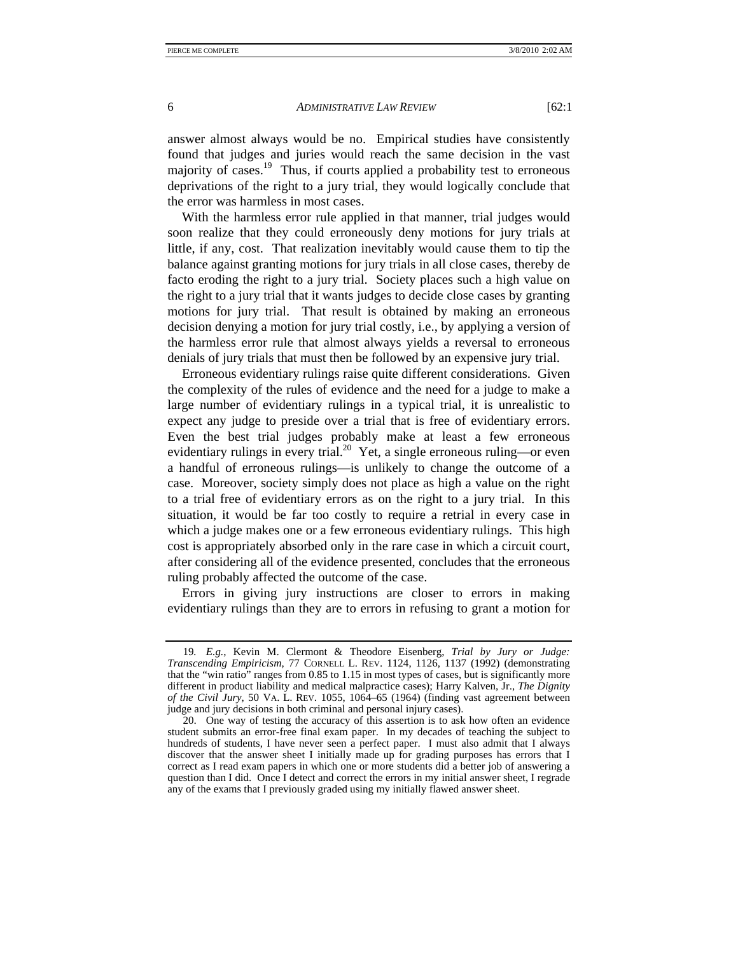answer almost always would be no. Empirical studies have consistently found that judges and juries would reach the same decision in the vast majority of cases.<sup>19</sup> Thus, if courts applied a probability test to erroneous deprivations of the right to a jury trial, they would logically conclude that the error was harmless in most cases.

With the harmless error rule applied in that manner, trial judges would soon realize that they could erroneously deny motions for jury trials at little, if any, cost. That realization inevitably would cause them to tip the balance against granting motions for jury trials in all close cases, thereby de facto eroding the right to a jury trial. Society places such a high value on the right to a jury trial that it wants judges to decide close cases by granting motions for jury trial. That result is obtained by making an erroneous decision denying a motion for jury trial costly, i.e., by applying a version of the harmless error rule that almost always yields a reversal to erroneous denials of jury trials that must then be followed by an expensive jury trial.

Erroneous evidentiary rulings raise quite different considerations. Given the complexity of the rules of evidence and the need for a judge to make a large number of evidentiary rulings in a typical trial, it is unrealistic to expect any judge to preside over a trial that is free of evidentiary errors. Even the best trial judges probably make at least a few erroneous evidentiary rulings in every trial.<sup>20</sup> Yet, a single erroneous ruling—or even a handful of erroneous rulings—is unlikely to change the outcome of a case. Moreover, society simply does not place as high a value on the right to a trial free of evidentiary errors as on the right to a jury trial. In this situation, it would be far too costly to require a retrial in every case in which a judge makes one or a few erroneous evidentiary rulings. This high cost is appropriately absorbed only in the rare case in which a circuit court, after considering all of the evidence presented, concludes that the erroneous ruling probably affected the outcome of the case.

Errors in giving jury instructions are closer to errors in making evidentiary rulings than they are to errors in refusing to grant a motion for

<sup>19</sup>*. E.g.*, Kevin M. Clermont & Theodore Eisenberg, *Trial by Jury or Judge: Transcending Empiricism*, 77 CORNELL L. REV. 1124, 1126, 1137 (1992) (demonstrating that the "win ratio" ranges from 0.85 to 1.15 in most types of cases, but is significantly more different in product liability and medical malpractice cases); Harry Kalven, Jr., *The Dignity of the Civil Jury*, 50 VA. L. REV. 1055, 1064–65 (1964) (finding vast agreement between judge and jury decisions in both criminal and personal injury cases).

 <sup>20.</sup> One way of testing the accuracy of this assertion is to ask how often an evidence student submits an error-free final exam paper. In my decades of teaching the subject to hundreds of students, I have never seen a perfect paper. I must also admit that I always discover that the answer sheet I initially made up for grading purposes has errors that I correct as I read exam papers in which one or more students did a better job of answering a question than I did. Once I detect and correct the errors in my initial answer sheet, I regrade any of the exams that I previously graded using my initially flawed answer sheet.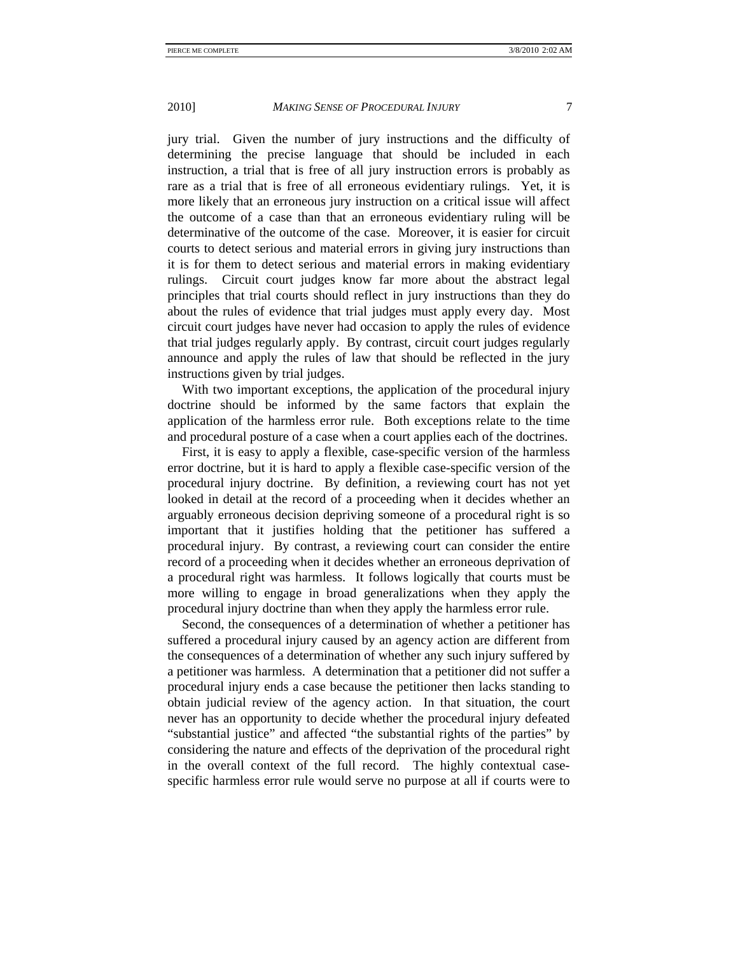jury trial. Given the number of jury instructions and the difficulty of determining the precise language that should be included in each instruction, a trial that is free of all jury instruction errors is probably as rare as a trial that is free of all erroneous evidentiary rulings. Yet, it is more likely that an erroneous jury instruction on a critical issue will affect the outcome of a case than that an erroneous evidentiary ruling will be determinative of the outcome of the case. Moreover, it is easier for circuit courts to detect serious and material errors in giving jury instructions than it is for them to detect serious and material errors in making evidentiary rulings. Circuit court judges know far more about the abstract legal principles that trial courts should reflect in jury instructions than they do about the rules of evidence that trial judges must apply every day. Most circuit court judges have never had occasion to apply the rules of evidence that trial judges regularly apply. By contrast, circuit court judges regularly announce and apply the rules of law that should be reflected in the jury instructions given by trial judges.

With two important exceptions, the application of the procedural injury doctrine should be informed by the same factors that explain the application of the harmless error rule. Both exceptions relate to the time and procedural posture of a case when a court applies each of the doctrines.

First, it is easy to apply a flexible, case-specific version of the harmless error doctrine, but it is hard to apply a flexible case-specific version of the procedural injury doctrine. By definition, a reviewing court has not yet looked in detail at the record of a proceeding when it decides whether an arguably erroneous decision depriving someone of a procedural right is so important that it justifies holding that the petitioner has suffered a procedural injury. By contrast, a reviewing court can consider the entire record of a proceeding when it decides whether an erroneous deprivation of a procedural right was harmless. It follows logically that courts must be more willing to engage in broad generalizations when they apply the procedural injury doctrine than when they apply the harmless error rule.

Second, the consequences of a determination of whether a petitioner has suffered a procedural injury caused by an agency action are different from the consequences of a determination of whether any such injury suffered by a petitioner was harmless. A determination that a petitioner did not suffer a procedural injury ends a case because the petitioner then lacks standing to obtain judicial review of the agency action. In that situation, the court never has an opportunity to decide whether the procedural injury defeated "substantial justice" and affected "the substantial rights of the parties" by considering the nature and effects of the deprivation of the procedural right in the overall context of the full record. The highly contextual casespecific harmless error rule would serve no purpose at all if courts were to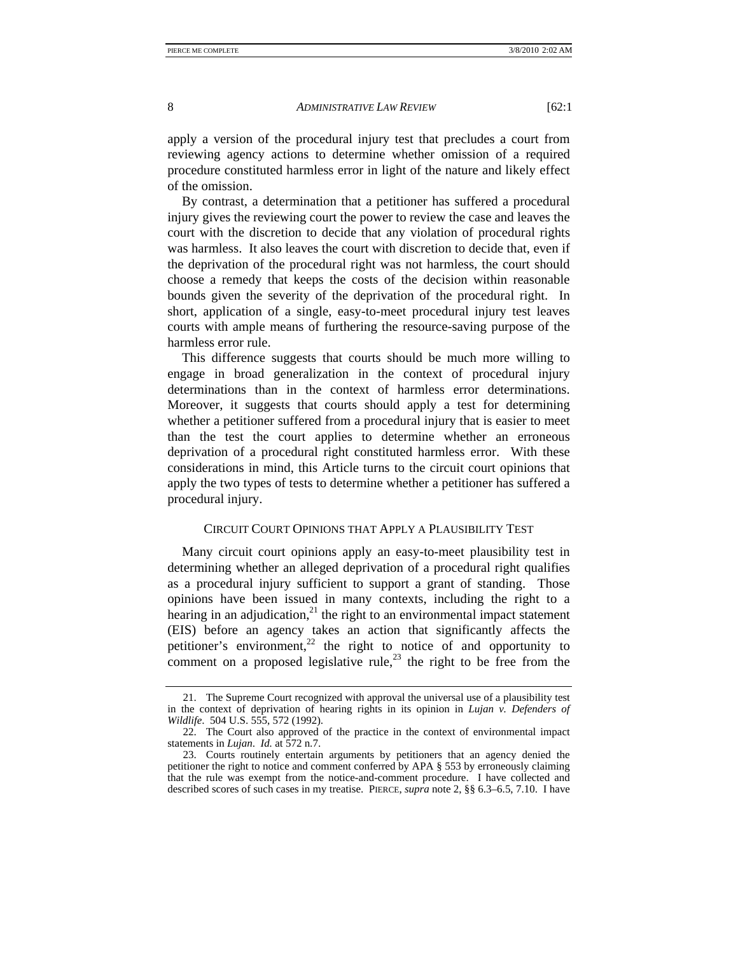apply a version of the procedural injury test that precludes a court from reviewing agency actions to determine whether omission of a required procedure constituted harmless error in light of the nature and likely effect of the omission.

By contrast, a determination that a petitioner has suffered a procedural injury gives the reviewing court the power to review the case and leaves the court with the discretion to decide that any violation of procedural rights was harmless. It also leaves the court with discretion to decide that, even if the deprivation of the procedural right was not harmless, the court should choose a remedy that keeps the costs of the decision within reasonable bounds given the severity of the deprivation of the procedural right. In short, application of a single, easy-to-meet procedural injury test leaves courts with ample means of furthering the resource-saving purpose of the harmless error rule.

This difference suggests that courts should be much more willing to engage in broad generalization in the context of procedural injury determinations than in the context of harmless error determinations. Moreover, it suggests that courts should apply a test for determining whether a petitioner suffered from a procedural injury that is easier to meet than the test the court applies to determine whether an erroneous deprivation of a procedural right constituted harmless error. With these considerations in mind, this Article turns to the circuit court opinions that apply the two types of tests to determine whether a petitioner has suffered a procedural injury.

# CIRCUIT COURT OPINIONS THAT APPLY A PLAUSIBILITY TEST

Many circuit court opinions apply an easy-to-meet plausibility test in determining whether an alleged deprivation of a procedural right qualifies as a procedural injury sufficient to support a grant of standing. Those opinions have been issued in many contexts, including the right to a hearing in an adjudication,<sup>21</sup> the right to an environmental impact statement (EIS) before an agency takes an action that significantly affects the petitioner's environment, $^{22}$  the right to notice of and opportunity to comment on a proposed legislative rule,<sup>23</sup> the right to be free from the

 <sup>21.</sup> The Supreme Court recognized with approval the universal use of a plausibility test in the context of deprivation of hearing rights in its opinion in *Lujan v. Defenders of Wildlife*. 504 U.S. 555, 572 (1992).

 <sup>22.</sup> The Court also approved of the practice in the context of environmental impact statements in *Lujan*. *Id.* at 572 n.7.

 <sup>23.</sup> Courts routinely entertain arguments by petitioners that an agency denied the petitioner the right to notice and comment conferred by APA § 553 by erroneously claiming that the rule was exempt from the notice-and-comment procedure. I have collected and described scores of such cases in my treatise. PIERCE, *supra* note 2, §§ 6.3–6.5, 7.10. I have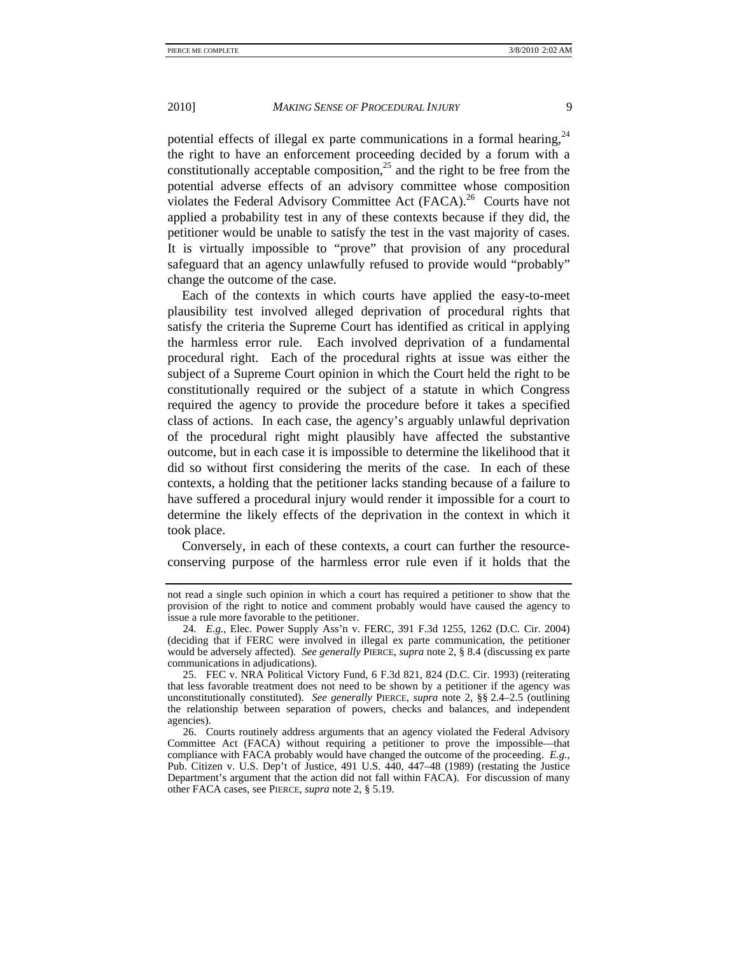potential effects of illegal ex parte communications in a formal hearing.<sup>24</sup> the right to have an enforcement proceeding decided by a forum with a constitutionally acceptable composition,<sup>25</sup> and the right to be free from the potential adverse effects of an advisory committee whose composition violates the Federal Advisory Committee Act  $(FACA)$ <sup>26</sup> Courts have not applied a probability test in any of these contexts because if they did, the petitioner would be unable to satisfy the test in the vast majority of cases. It is virtually impossible to "prove" that provision of any procedural safeguard that an agency unlawfully refused to provide would "probably" change the outcome of the case.

Each of the contexts in which courts have applied the easy-to-meet plausibility test involved alleged deprivation of procedural rights that satisfy the criteria the Supreme Court has identified as critical in applying the harmless error rule. Each involved deprivation of a fundamental procedural right. Each of the procedural rights at issue was either the subject of a Supreme Court opinion in which the Court held the right to be constitutionally required or the subject of a statute in which Congress required the agency to provide the procedure before it takes a specified class of actions. In each case, the agency's arguably unlawful deprivation of the procedural right might plausibly have affected the substantive outcome, but in each case it is impossible to determine the likelihood that it did so without first considering the merits of the case. In each of these contexts, a holding that the petitioner lacks standing because of a failure to have suffered a procedural injury would render it impossible for a court to determine the likely effects of the deprivation in the context in which it took place.

Conversely, in each of these contexts, a court can further the resourceconserving purpose of the harmless error rule even if it holds that the

not read a single such opinion in which a court has required a petitioner to show that the provision of the right to notice and comment probably would have caused the agency to issue a rule more favorable to the petitioner.

<sup>24</sup>*. E.g.*, Elec. Power Supply Ass'n v. FERC, 391 F.3d 1255, 1262 (D.C. Cir. 2004) (deciding that if FERC were involved in illegal ex parte communication, the petitioner would be adversely affected). *See generally* PIERCE, *supra* note 2, § 8.4 (discussing ex parte communications in adjudications).

 <sup>25.</sup> FEC v. NRA Political Victory Fund, 6 F.3d 821, 824 (D.C. Cir. 1993) (reiterating that less favorable treatment does not need to be shown by a petitioner if the agency was unconstitutionally constituted). *See generally* PIERCE, *supra* note 2, §§ 2.4–2.5 (outlining the relationship between separation of powers, checks and balances, and independent agencies).

 <sup>26.</sup> Courts routinely address arguments that an agency violated the Federal Advisory Committee Act (FACA) without requiring a petitioner to prove the impossible—that compliance with FACA probably would have changed the outcome of the proceeding. *E.g.*, Pub. Citizen v. U.S. Dep't of Justice, 491 U.S. 440, 447–48 (1989) (restating the Justice Department's argument that the action did not fall within FACA). For discussion of many other FACA cases, see PIERCE, *supra* note 2, § 5.19.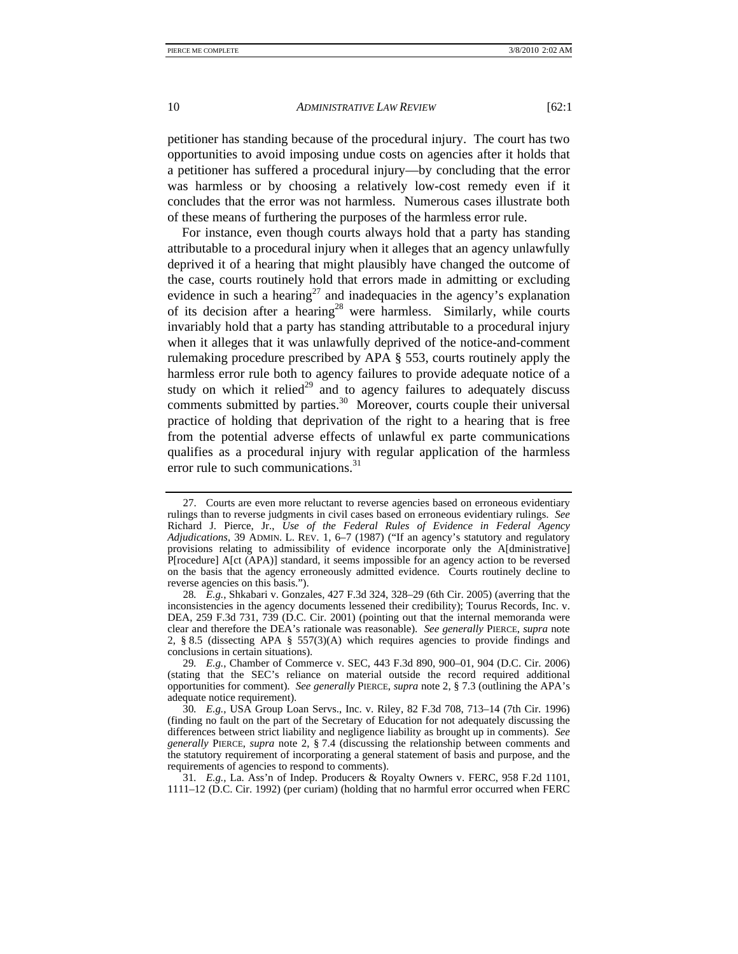petitioner has standing because of the procedural injury. The court has two opportunities to avoid imposing undue costs on agencies after it holds that a petitioner has suffered a procedural injury—by concluding that the error was harmless or by choosing a relatively low-cost remedy even if it concludes that the error was not harmless. Numerous cases illustrate both of these means of furthering the purposes of the harmless error rule.

For instance, even though courts always hold that a party has standing attributable to a procedural injury when it alleges that an agency unlawfully deprived it of a hearing that might plausibly have changed the outcome of the case, courts routinely hold that errors made in admitting or excluding evidence in such a hearing<sup>27</sup> and inadequacies in the agency's explanation of its decision after a hearing<sup>28</sup> were harmless. Similarly, while courts invariably hold that a party has standing attributable to a procedural injury when it alleges that it was unlawfully deprived of the notice-and-comment rulemaking procedure prescribed by APA § 553, courts routinely apply the harmless error rule both to agency failures to provide adequate notice of a study on which it relied<sup>29</sup> and to agency failures to adequately discuss comments submitted by parties. $30$  Moreover, courts couple their universal practice of holding that deprivation of the right to a hearing that is free from the potential adverse effects of unlawful ex parte communications qualifies as a procedural injury with regular application of the harmless error rule to such communications.<sup>31</sup>

 <sup>27.</sup> Courts are even more reluctant to reverse agencies based on erroneous evidentiary rulings than to reverse judgments in civil cases based on erroneous evidentiary rulings. *See* Richard J. Pierce, Jr., *Use of the Federal Rules of Evidence in Federal Agency Adjudications*, 39 ADMIN. L. REV. 1, 6–7 (1987) ("If an agency's statutory and regulatory provisions relating to admissibility of evidence incorporate only the A[dministrative] P[rocedure] A[ct (APA)] standard, it seems impossible for an agency action to be reversed on the basis that the agency erroneously admitted evidence. Courts routinely decline to reverse agencies on this basis.").

<sup>28</sup>*. E.g.*, Shkabari v. Gonzales, 427 F.3d 324, 328–29 (6th Cir. 2005) (averring that the inconsistencies in the agency documents lessened their credibility); Tourus Records, Inc. v. DEA, 259 F.3d 731, 739 (D.C. Cir. 2001) (pointing out that the internal memoranda were clear and therefore the DEA's rationale was reasonable). *See generally* PIERCE, *supra* note 2, § 8.5 (dissecting APA § 557(3)(A) which requires agencies to provide findings and conclusions in certain situations).

<sup>29</sup>*. E.g.*, Chamber of Commerce v. SEC, 443 F.3d 890, 900–01, 904 (D.C. Cir. 2006) (stating that the SEC's reliance on material outside the record required additional opportunities for comment). *See generally* PIERCE, *supra* note 2, § 7.3 (outlining the APA's adequate notice requirement).

<sup>30</sup>*. E.g.*, USA Group Loan Servs., Inc. v. Riley, 82 F.3d 708, 713–14 (7th Cir. 1996) (finding no fault on the part of the Secretary of Education for not adequately discussing the differences between strict liability and negligence liability as brought up in comments). *See generally* PIERCE, *supra* note 2, § 7.4 (discussing the relationship between comments and the statutory requirement of incorporating a general statement of basis and purpose, and the requirements of agencies to respond to comments).

<sup>31</sup>*. E.g.*, La. Ass'n of Indep. Producers & Royalty Owners v. FERC, 958 F.2d 1101, 1111–12 (D.C. Cir. 1992) (per curiam) (holding that no harmful error occurred when FERC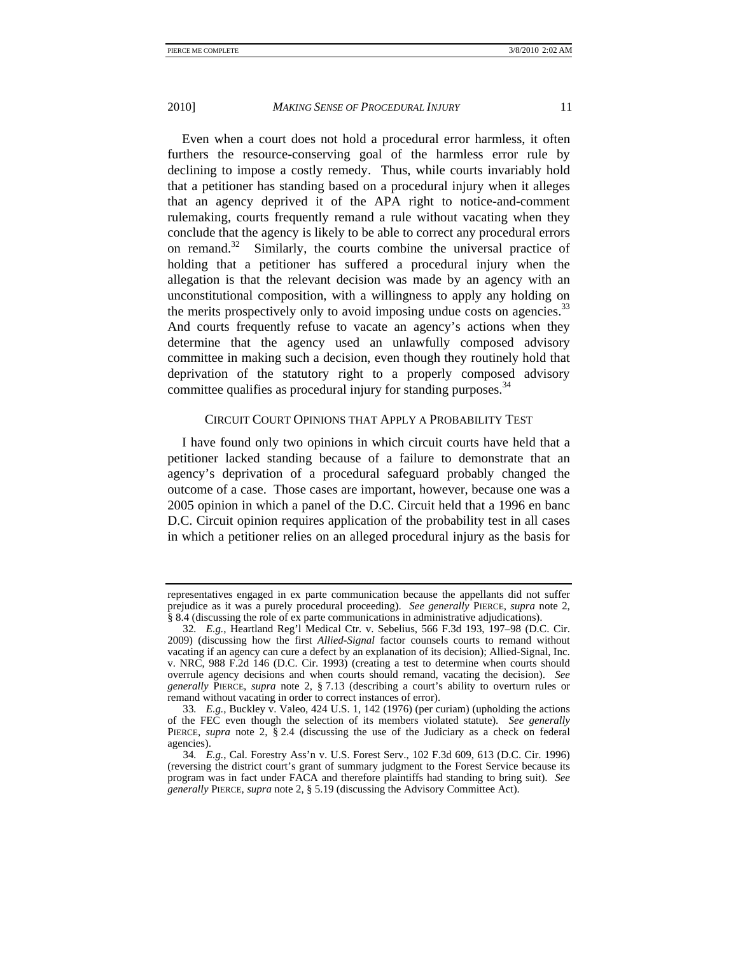Even when a court does not hold a procedural error harmless, it often furthers the resource-conserving goal of the harmless error rule by declining to impose a costly remedy. Thus, while courts invariably hold that a petitioner has standing based on a procedural injury when it alleges that an agency deprived it of the APA right to notice-and-comment rulemaking, courts frequently remand a rule without vacating when they conclude that the agency is likely to be able to correct any procedural errors on remand.<sup>32</sup> Similarly, the courts combine the universal practice of holding that a petitioner has suffered a procedural injury when the allegation is that the relevant decision was made by an agency with an unconstitutional composition, with a willingness to apply any holding on the merits prospectively only to avoid imposing undue costs on agencies.<sup>33</sup> And courts frequently refuse to vacate an agency's actions when they determine that the agency used an unlawfully composed advisory committee in making such a decision, even though they routinely hold that deprivation of the statutory right to a properly composed advisory committee qualifies as procedural injury for standing purposes.<sup>34</sup>

# CIRCUIT COURT OPINIONS THAT APPLY A PROBABILITY TEST

I have found only two opinions in which circuit courts have held that a petitioner lacked standing because of a failure to demonstrate that an agency's deprivation of a procedural safeguard probably changed the outcome of a case. Those cases are important, however, because one was a 2005 opinion in which a panel of the D.C. Circuit held that a 1996 en banc D.C. Circuit opinion requires application of the probability test in all cases in which a petitioner relies on an alleged procedural injury as the basis for

representatives engaged in ex parte communication because the appellants did not suffer prejudice as it was a purely procedural proceeding). *See generally* PIERCE, *supra* note 2, § 8.4 (discussing the role of ex parte communications in administrative adjudications).

<sup>32</sup>*. E.g.*, Heartland Reg'l Medical Ctr. v. Sebelius, 566 F.3d 193, 197–98 (D.C. Cir. 2009) (discussing how the first *Allied-Signal* factor counsels courts to remand without vacating if an agency can cure a defect by an explanation of its decision); Allied-Signal, Inc. v. NRC, 988 F.2d 146 (D.C. Cir. 1993) (creating a test to determine when courts should overrule agency decisions and when courts should remand, vacating the decision). *See generally* PIERCE, *supra* note 2, § 7.13 (describing a court's ability to overturn rules or remand without vacating in order to correct instances of error).

<sup>33</sup>*. E.g.*, Buckley v. Valeo, 424 U.S. 1, 142 (1976) (per curiam) (upholding the actions of the FEC even though the selection of its members violated statute). *See generally* PIERCE, *supra* note 2, § 2.4 (discussing the use of the Judiciary as a check on federal agencies).

<sup>34</sup>*. E.g.*, Cal. Forestry Ass'n v. U.S. Forest Serv., 102 F.3d 609, 613 (D.C. Cir. 1996) (reversing the district court's grant of summary judgment to the Forest Service because its program was in fact under FACA and therefore plaintiffs had standing to bring suit). *See generally* PIERCE, *supra* note 2, § 5.19 (discussing the Advisory Committee Act).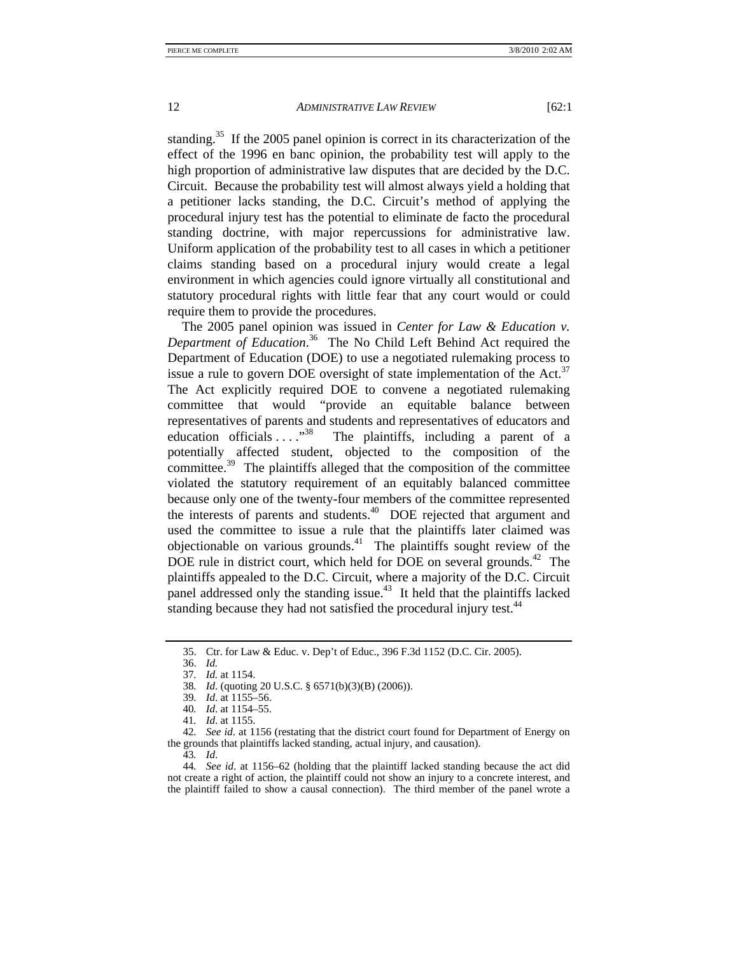standing.<sup>35</sup> If the 2005 panel opinion is correct in its characterization of the effect of the 1996 en banc opinion, the probability test will apply to the high proportion of administrative law disputes that are decided by the D.C. Circuit. Because the probability test will almost always yield a holding that a petitioner lacks standing, the D.C. Circuit's method of applying the procedural injury test has the potential to eliminate de facto the procedural standing doctrine, with major repercussions for administrative law. Uniform application of the probability test to all cases in which a petitioner claims standing based on a procedural injury would create a legal environment in which agencies could ignore virtually all constitutional and statutory procedural rights with little fear that any court would or could require them to provide the procedures.

The 2005 panel opinion was issued in *Center for Law & Education v. Department of Education*. 36 The No Child Left Behind Act required the Department of Education (DOE) to use a negotiated rulemaking process to issue a rule to govern DOE oversight of state implementation of the Act.<sup>37</sup> The Act explicitly required DOE to convene a negotiated rulemaking committee that would "provide an equitable balance between representatives of parents and students and representatives of educators and education officials  $\ldots$ <sup>38</sup> The plaintiffs, including a parent of a The plaintiffs, including a parent of a potentially affected student, objected to the composition of the committee. $39$  The plaintiffs alleged that the composition of the committee violated the statutory requirement of an equitably balanced committee because only one of the twenty-four members of the committee represented the interests of parents and students.<sup>40</sup> DOE rejected that argument and used the committee to issue a rule that the plaintiffs later claimed was objectionable on various grounds. $41$  The plaintiffs sought review of the DOE rule in district court, which held for DOE on several grounds.<sup>42</sup> The plaintiffs appealed to the D.C. Circuit, where a majority of the D.C. Circuit panel addressed only the standing issue.<sup>43</sup> It held that the plaintiffs lacked standing because they had not satisfied the procedural injury test.<sup>44</sup>

42*. See id*. at 1156 (restating that the district court found for Department of Energy on the grounds that plaintiffs lacked standing, actual injury, and causation).

43*. Id*.

 <sup>35.</sup> Ctr. for Law & Educ. v. Dep't of Educ., 396 F.3d 1152 (D.C. Cir. 2005).

 <sup>36.</sup> *Id.*

<sup>37</sup>*. Id.* at 1154.

<sup>38</sup>*. Id*. (quoting 20 U.S.C. § 6571(b)(3)(B) (2006)).

<sup>39</sup>*. Id*. at 1155–56.

<sup>40</sup>*. Id*. at 1154–55.

<sup>41</sup>*. Id*. at 1155.

<sup>44</sup>*. See id*. at 1156–62 (holding that the plaintiff lacked standing because the act did not create a right of action, the plaintiff could not show an injury to a concrete interest, and the plaintiff failed to show a causal connection). The third member of the panel wrote a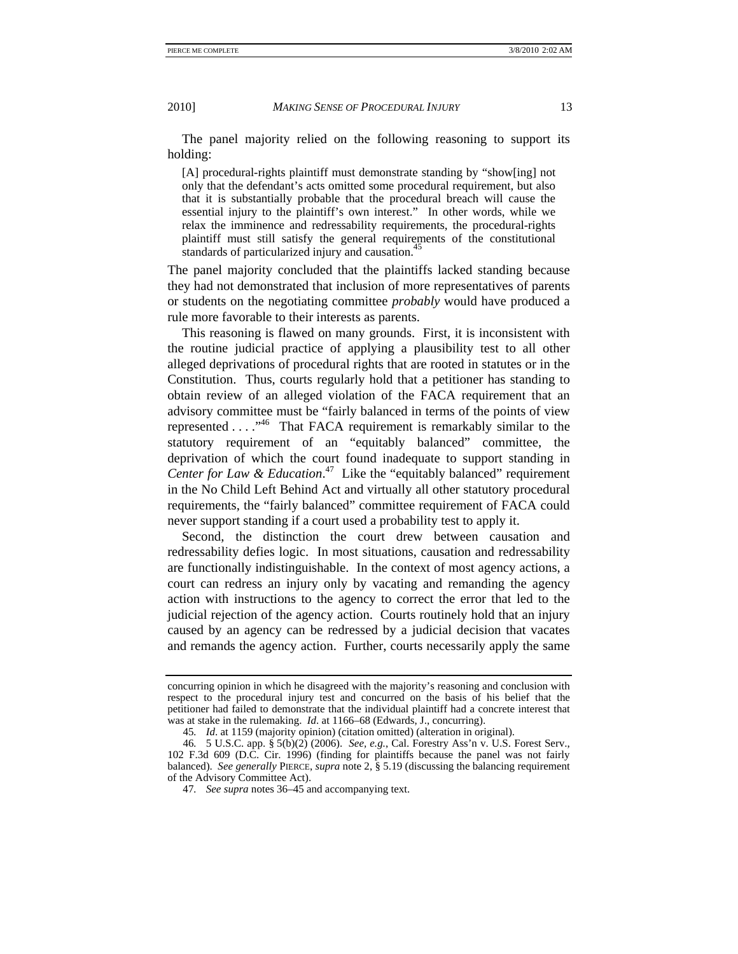The panel majority relied on the following reasoning to support its holding:

[A] procedural-rights plaintiff must demonstrate standing by "show[ing] not only that the defendant's acts omitted some procedural requirement, but also that it is substantially probable that the procedural breach will cause the essential injury to the plaintiff's own interest." In other words, while we relax the imminence and redressability requirements, the procedural-rights plaintiff must still satisfy the general requirements of the constitutional standards of particularized injury and causation.<sup>45</sup>

The panel majority concluded that the plaintiffs lacked standing because they had not demonstrated that inclusion of more representatives of parents or students on the negotiating committee *probably* would have produced a rule more favorable to their interests as parents.

This reasoning is flawed on many grounds. First, it is inconsistent with the routine judicial practice of applying a plausibility test to all other alleged deprivations of procedural rights that are rooted in statutes or in the Constitution. Thus, courts regularly hold that a petitioner has standing to obtain review of an alleged violation of the FACA requirement that an advisory committee must be "fairly balanced in terms of the points of view represented . . . ."46 That FACA requirement is remarkably similar to the statutory requirement of an "equitably balanced" committee, the deprivation of which the court found inadequate to support standing in *Center for Law & Education*. 47 Like the "equitably balanced" requirement in the No Child Left Behind Act and virtually all other statutory procedural requirements, the "fairly balanced" committee requirement of FACA could never support standing if a court used a probability test to apply it.

Second, the distinction the court drew between causation and redressability defies logic. In most situations, causation and redressability are functionally indistinguishable. In the context of most agency actions, a court can redress an injury only by vacating and remanding the agency action with instructions to the agency to correct the error that led to the judicial rejection of the agency action. Courts routinely hold that an injury caused by an agency can be redressed by a judicial decision that vacates and remands the agency action. Further, courts necessarily apply the same

concurring opinion in which he disagreed with the majority's reasoning and conclusion with respect to the procedural injury test and concurred on the basis of his belief that the petitioner had failed to demonstrate that the individual plaintiff had a concrete interest that was at stake in the rulemaking. *Id*. at 1166–68 (Edwards, J., concurring).

<sup>45</sup>*. Id*. at 1159 (majority opinion) (citation omitted) (alteration in original).

<sup>46</sup>*.* 5 U.S.C. app. § 5(b)(2) (2006). *See, e.g.*, Cal. Forestry Ass'n v. U.S. Forest Serv., 102 F.3d 609 (D.C. Cir. 1996) (finding for plaintiffs because the panel was not fairly balanced). *See generally* PIERCE, *supra* note 2, § 5.19 (discussing the balancing requirement of the Advisory Committee Act).

<sup>47</sup>*. See supra* notes 36–45 and accompanying text.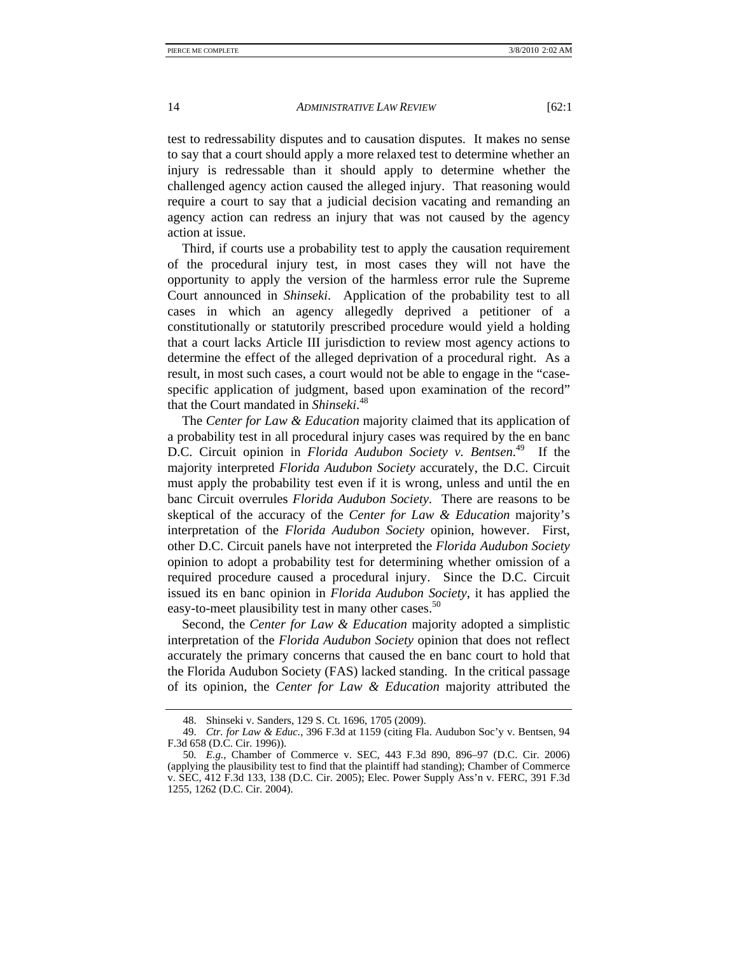test to redressability disputes and to causation disputes. It makes no sense to say that a court should apply a more relaxed test to determine whether an injury is redressable than it should apply to determine whether the challenged agency action caused the alleged injury. That reasoning would require a court to say that a judicial decision vacating and remanding an agency action can redress an injury that was not caused by the agency

Third, if courts use a probability test to apply the causation requirement of the procedural injury test, in most cases they will not have the opportunity to apply the version of the harmless error rule the Supreme Court announced in *Shinseki*. Application of the probability test to all cases in which an agency allegedly deprived a petitioner of a constitutionally or statutorily prescribed procedure would yield a holding that a court lacks Article III jurisdiction to review most agency actions to determine the effect of the alleged deprivation of a procedural right. As a result, in most such cases, a court would not be able to engage in the "casespecific application of judgment, based upon examination of the record" that the Court mandated in *Shinseki*. 48

The *Center for Law & Education* majority claimed that its application of a probability test in all procedural injury cases was required by the en banc D.C. Circuit opinion in *Florida Audubon Society v. Bentsen*. 49 If the majority interpreted *Florida Audubon Society* accurately, the D.C. Circuit must apply the probability test even if it is wrong, unless and until the en banc Circuit overrules *Florida Audubon Society*. There are reasons to be skeptical of the accuracy of the *Center for Law & Education* majority's interpretation of the *Florida Audubon Society* opinion, however. First, other D.C. Circuit panels have not interpreted the *Florida Audubon Society*  opinion to adopt a probability test for determining whether omission of a required procedure caused a procedural injury. Since the D.C. Circuit issued its en banc opinion in *Florida Audubon Society*, it has applied the easy-to-meet plausibility test in many other cases.<sup>50</sup>

Second, the *Center for Law & Education* majority adopted a simplistic interpretation of the *Florida Audubon Society* opinion that does not reflect accurately the primary concerns that caused the en banc court to hold that the Florida Audubon Society (FAS) lacked standing. In the critical passage of its opinion, the *Center for Law & Education* majority attributed the

action at issue.

 <sup>48.</sup> Shinseki v. Sanders, 129 S. Ct. 1696, 1705 (2009).

 <sup>49.</sup> *Ctr. for Law & Educ.*, 396 F.3d at 1159 (citing Fla. Audubon Soc'y v. Bentsen, 94 F.3d 658 (D.C. Cir. 1996)).

<sup>50</sup>*. E.g.*, Chamber of Commerce v. SEC, 443 F.3d 890, 896–97 (D.C. Cir. 2006) (applying the plausibility test to find that the plaintiff had standing); Chamber of Commerce v. SEC, 412 F.3d 133, 138 (D.C. Cir. 2005); Elec. Power Supply Ass'n v. FERC, 391 F.3d 1255, 1262 (D.C. Cir. 2004).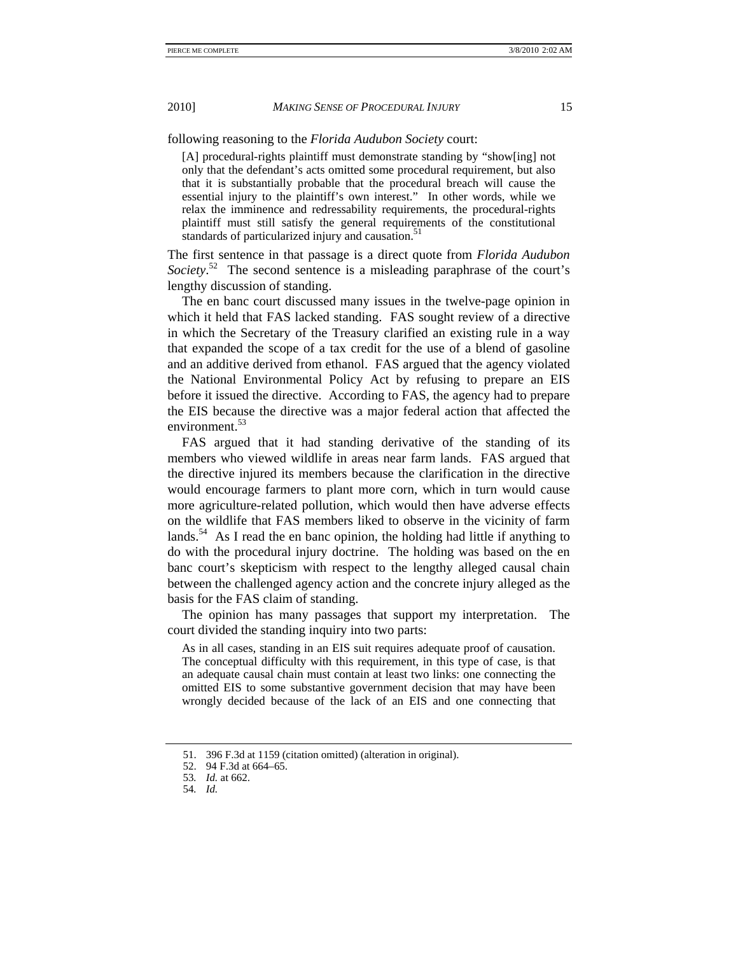following reasoning to the *Florida Audubon Society* court:

[A] procedural-rights plaintiff must demonstrate standing by "show[ing] not only that the defendant's acts omitted some procedural requirement, but also that it is substantially probable that the procedural breach will cause the essential injury to the plaintiff's own interest." In other words, while we relax the imminence and redressability requirements, the procedural-rights plaintiff must still satisfy the general requirements of the constitutional standards of particularized injury and causation.<sup>51</sup>

The first sentence in that passage is a direct quote from *Florida Audubon*  Society.<sup>52</sup> The second sentence is a misleading paraphrase of the court's lengthy discussion of standing.

The en banc court discussed many issues in the twelve-page opinion in which it held that FAS lacked standing. FAS sought review of a directive in which the Secretary of the Treasury clarified an existing rule in a way that expanded the scope of a tax credit for the use of a blend of gasoline and an additive derived from ethanol. FAS argued that the agency violated the National Environmental Policy Act by refusing to prepare an EIS before it issued the directive. According to FAS, the agency had to prepare the EIS because the directive was a major federal action that affected the environment.53

FAS argued that it had standing derivative of the standing of its members who viewed wildlife in areas near farm lands. FAS argued that the directive injured its members because the clarification in the directive would encourage farmers to plant more corn, which in turn would cause more agriculture-related pollution, which would then have adverse effects on the wildlife that FAS members liked to observe in the vicinity of farm lands.<sup>54</sup> As I read the en banc opinion, the holding had little if anything to do with the procedural injury doctrine. The holding was based on the en banc court's skepticism with respect to the lengthy alleged causal chain between the challenged agency action and the concrete injury alleged as the basis for the FAS claim of standing.

The opinion has many passages that support my interpretation. The court divided the standing inquiry into two parts:

As in all cases, standing in an EIS suit requires adequate proof of causation. The conceptual difficulty with this requirement, in this type of case, is that an adequate causal chain must contain at least two links: one connecting the omitted EIS to some substantive government decision that may have been wrongly decided because of the lack of an EIS and one connecting that

 <sup>51. 396</sup> F.3d at 1159 (citation omitted) (alteration in original).

 <sup>52. 94</sup> F.3d at 664–65.

<sup>53</sup>*. Id.* at 662.

<sup>54</sup>*. Id.*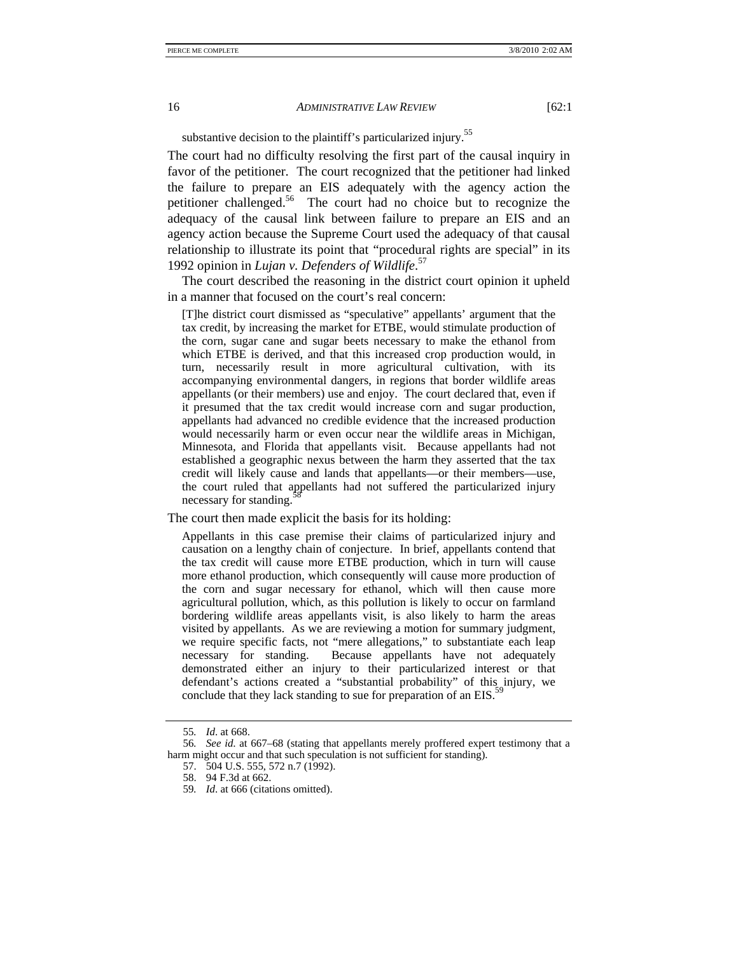substantive decision to the plaintiff's particularized injury.<sup>55</sup>

The court had no difficulty resolving the first part of the causal inquiry in favor of the petitioner. The court recognized that the petitioner had linked the failure to prepare an EIS adequately with the agency action the petitioner challenged.56 The court had no choice but to recognize the adequacy of the causal link between failure to prepare an EIS and an agency action because the Supreme Court used the adequacy of that causal relationship to illustrate its point that "procedural rights are special" in its 1992 opinion in *Lujan v. Defenders of Wildlife*. 57

The court described the reasoning in the district court opinion it upheld in a manner that focused on the court's real concern:

[T]he district court dismissed as "speculative" appellants' argument that the tax credit, by increasing the market for ETBE, would stimulate production of the corn, sugar cane and sugar beets necessary to make the ethanol from which ETBE is derived, and that this increased crop production would, in turn, necessarily result in more agricultural cultivation, with its accompanying environmental dangers, in regions that border wildlife areas appellants (or their members) use and enjoy. The court declared that, even if it presumed that the tax credit would increase corn and sugar production, appellants had advanced no credible evidence that the increased production would necessarily harm or even occur near the wildlife areas in Michigan, Minnesota, and Florida that appellants visit. Because appellants had not established a geographic nexus between the harm they asserted that the tax credit will likely cause and lands that appellants—or their members—use, the court ruled that appellants had not suffered the particularized injury necessary for standing.

The court then made explicit the basis for its holding:

Appellants in this case premise their claims of particularized injury and causation on a lengthy chain of conjecture. In brief, appellants contend that the tax credit will cause more ETBE production, which in turn will cause more ethanol production, which consequently will cause more production of the corn and sugar necessary for ethanol, which will then cause more agricultural pollution, which, as this pollution is likely to occur on farmland bordering wildlife areas appellants visit, is also likely to harm the areas visited by appellants. As we are reviewing a motion for summary judgment, we require specific facts, not "mere allegations," to substantiate each leap necessary for standing. Because appellants have not adequately demonstrated either an injury to their particularized interest or that defendant's actions created a "substantial probability" of this injury, we conclude that they lack standing to sue for preparation of an  $EIS$ <sup>5</sup>

<sup>55</sup>*. Id*. at 668.

<sup>56</sup>*. See id*. at 667–68 (stating that appellants merely proffered expert testimony that a harm might occur and that such speculation is not sufficient for standing).

 <sup>57. 504</sup> U.S. 555, 572 n.7 (1992).

 <sup>58. 94</sup> F.3d at 662.

<sup>59</sup>*. Id*. at 666 (citations omitted).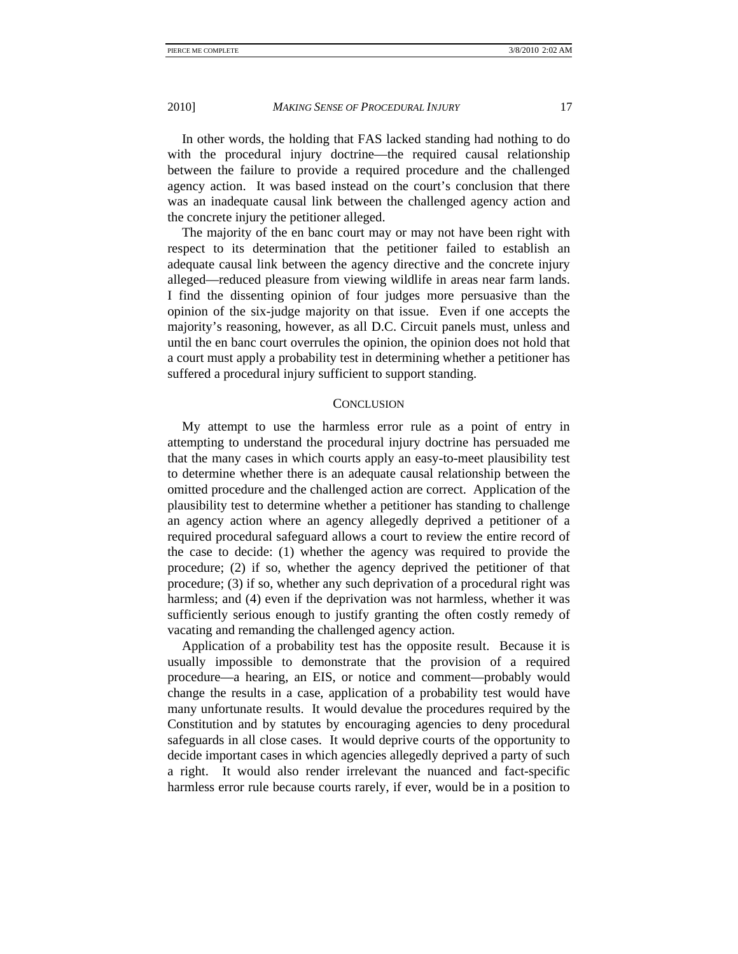In other words, the holding that FAS lacked standing had nothing to do with the procedural injury doctrine—the required causal relationship between the failure to provide a required procedure and the challenged agency action. It was based instead on the court's conclusion that there was an inadequate causal link between the challenged agency action and the concrete injury the petitioner alleged.

The majority of the en banc court may or may not have been right with respect to its determination that the petitioner failed to establish an adequate causal link between the agency directive and the concrete injury alleged—reduced pleasure from viewing wildlife in areas near farm lands. I find the dissenting opinion of four judges more persuasive than the opinion of the six-judge majority on that issue. Even if one accepts the majority's reasoning, however, as all D.C. Circuit panels must, unless and until the en banc court overrules the opinion, the opinion does not hold that a court must apply a probability test in determining whether a petitioner has suffered a procedural injury sufficient to support standing.

# **CONCLUSION**

My attempt to use the harmless error rule as a point of entry in attempting to understand the procedural injury doctrine has persuaded me that the many cases in which courts apply an easy-to-meet plausibility test to determine whether there is an adequate causal relationship between the omitted procedure and the challenged action are correct. Application of the plausibility test to determine whether a petitioner has standing to challenge an agency action where an agency allegedly deprived a petitioner of a required procedural safeguard allows a court to review the entire record of the case to decide: (1) whether the agency was required to provide the procedure; (2) if so, whether the agency deprived the petitioner of that procedure; (3) if so, whether any such deprivation of a procedural right was harmless; and (4) even if the deprivation was not harmless, whether it was sufficiently serious enough to justify granting the often costly remedy of vacating and remanding the challenged agency action.

Application of a probability test has the opposite result. Because it is usually impossible to demonstrate that the provision of a required procedure—a hearing, an EIS, or notice and comment—probably would change the results in a case, application of a probability test would have many unfortunate results. It would devalue the procedures required by the Constitution and by statutes by encouraging agencies to deny procedural safeguards in all close cases. It would deprive courts of the opportunity to decide important cases in which agencies allegedly deprived a party of such a right. It would also render irrelevant the nuanced and fact-specific harmless error rule because courts rarely, if ever, would be in a position to